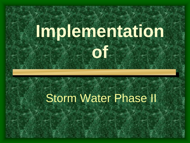# **Implementation**

**of**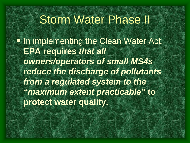**In implementing the Clean Water Act, EPA requires** *that all owners/operators of small MS4s reduce the discharge of pollutants from a regulated system to the "maximum extent practicable"* **to protect water quality.**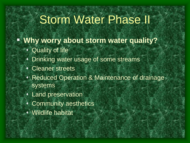- **Why worry about storm water quality?**
	- Quality of life
	- Drinking water usage of some streams
	- Cleaner streets
	- Reduced Operation & Maintenance of drainage systems
	- Land preservation
	- Community aesthetics
	- Wildlife habitat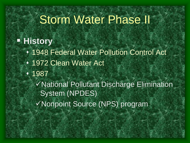#### **History**

- 1948 Federal Water Pollution Control Act
- 1972 Clean Water Act
- 1987

National Pollutant Discharge Elimination System (NPDES)

Nonpoint Source (NPS) program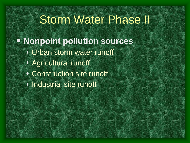**E** Nonpoint pollution sources Urban storm water runoff Agricultural runoff Construction site runoff **Industrial site runoff**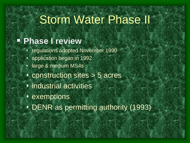#### **Phase I review**

- regulations adopted November 1990
- application began in 1992
- large & medium MS4s
- construction sites > 5 acres
- industrial activities
- exemptions
- DENR as permitting authority (1993)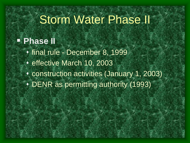#### **Phase II**

- final rule December 8, 1999
- ◆ effective March 10, 2003
- construction activities (January 1, 2003)
- DENR as permitting authority (1993)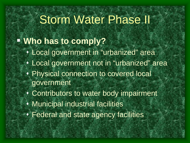#### **Who has to comply?**

- Local government in "urbanized" area
- Local government not in "urbanized" area
- Physical connection to covered local government
- Contributors to water body impairment
- Municipal industrial facilities
- Federal and state agency facilities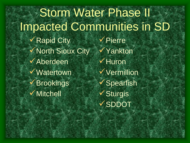Storm Water Phase II Impacted Communities in SD  $\checkmark$  Rapid City North Sioux City  $\checkmark$  Aberdeen Watertown **√Brookings √** Mitchell  $\checkmark$  Pierre Yankton  $\checkmark$  Huron Vermillion  $\checkmark$  Spearfish  $\checkmark$  Sturgis v SDDOT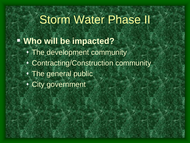#### **Who will be impacted?** The development community Contracting/Construction community The general public City government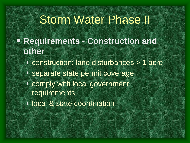- **Requirements - Construction and other**
	- construction: land disturbances > 1 acre • separate state permit coverage comply with local government requirements
	- local & state coordination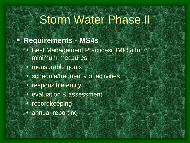#### **Requirements - MS4s**

- Best Management Practices(BMPS) for 6 minimum measures
- measurable goals
- schedule/frequency of activities
- **\*** responsible entity
- evaluation & assessment
- **\*** recordkeeping
- annual reporting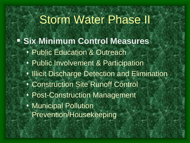**Six Minimum Control Measures • Public Education & Outreach**  Public Involvement & Participation **Illicit Discharge Detection and Elimination**  Construction Site Runoff Control Post-Construction Management Municipal Pollution Prevention/Housekeeping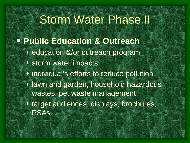- **Public Education & Outreach**
	- education &/or outreach program
	- **v** storm water impacts
	- individual's efforts to reduce pollution
	- **I** lawn and garden, household hazardous wastes, pet waste management
	- target audiences, displays, brochures, PSAs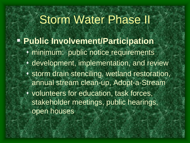**Public Involvement/Participation** minimum: public notice requirements **• development, implementation, and review**  storm drain stenciling, wetland restoration, annual stream clean-up, Adopt-a-Stream volunteers for education, task forces, stakeholder meetings, public hearings, open houses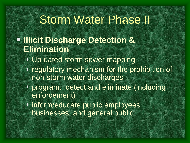- **Fillicit Discharge Detection & Elimination**
	- Up-dated storm sewer mapping
	- regulatory mechanism for the prohibition of non-storm water discharges
	- program: detect and eliminate (including enforcement)
	- inform/educate public employees, businesses, and general public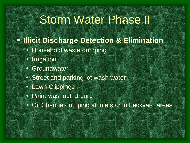- **Illicit Discharge Detection & Elimination** 
	- Household waste dumping
	- **· Irrigation**
	- **Groundwater**
	- **Street and parking lot wash water**
	- Lawn Clippings
	- Paint washout at curb
	- Oil Change dumping at inlets or in backyard areas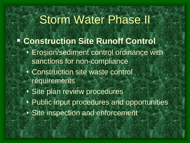- **Construction Site Runoff Control**
	- Erosion/sediment control ordinance with sanctions for non-compliance
	- Construction site waste control requirements
	- Site plan review procedures
	- Public input procedures and opportunities
	- Site inspection and enforcement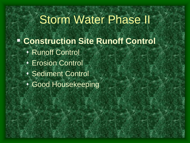**Construction Site Runoff Control** Runoff Control Erosion Control Sediment Control Good Housekeeping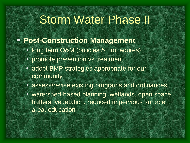#### **Post-Construction Management**

- long term O&M (policies & procedures)
- promote prevention vs treatment
- adopt BMP strategies appropriate for our community
- assess/revise existing programs and ordinances
- watershed-based planning, wetlands, open space, buffers, vegetation, reduced impervious surface area, education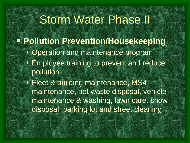**Pollution Prevention/Housekeeping** Operation and maintenance program Employee training to prevent and reduce pollution Fleet & building maintenance, MS4 maintenance, pet waste disposal, vehicle maintenance & washing, lawn care, snow disposal, parking lot and street cleaning